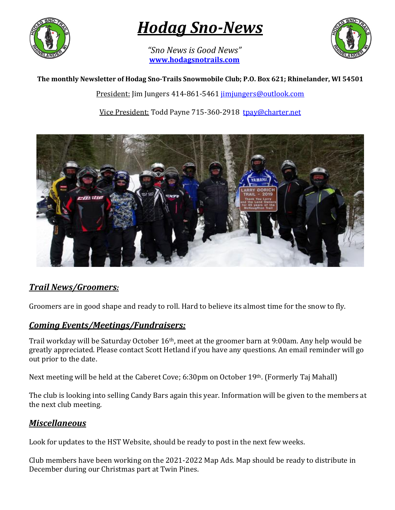

# *Hodag Sno-News*

*"Sno News is Good News"* **[www.hodagsnotrails.com](http://www.hodagsnotrails.com/)** 



#### **The monthly Newsletter of Hodag Sno-Trails Snowmobile Club; P.O. Box 621; Rhinelander, WI 54501**

President: Jim Jungers 414-861-5461 [jimjungers@outlook.com](mailto:jimjungers@outlook.com)

Vice President: Todd Payne 715-360-2918 [tpay@charter.net](mailto:tpay@charter.net)



#### *Trail News/Groomers:*

Groomers are in good shape and ready to roll. Hard to believe its almost time for the snow to fly.

#### *Coming Events/Meetings/Fundraisers:*

Trail workday will be Saturday October 16th, meet at the groomer barn at 9:00am. Any help would be greatly appreciated. Please contact Scott Hetland if you have any questions. An email reminder will go out prior to the date.

Next meeting will be held at the Caberet Cove; 6:30pm on October 19th. (Formerly Taj Mahall)

The club is looking into selling Candy Bars again this year. Information will be given to the members at the next club meeting.

#### *Miscellaneous*

Look for updates to the HST Website, should be ready to post in the next few weeks.

Club members have been working on the 2021-2022 Map Ads. Map should be ready to distribute in December during our Christmas part at Twin Pines.